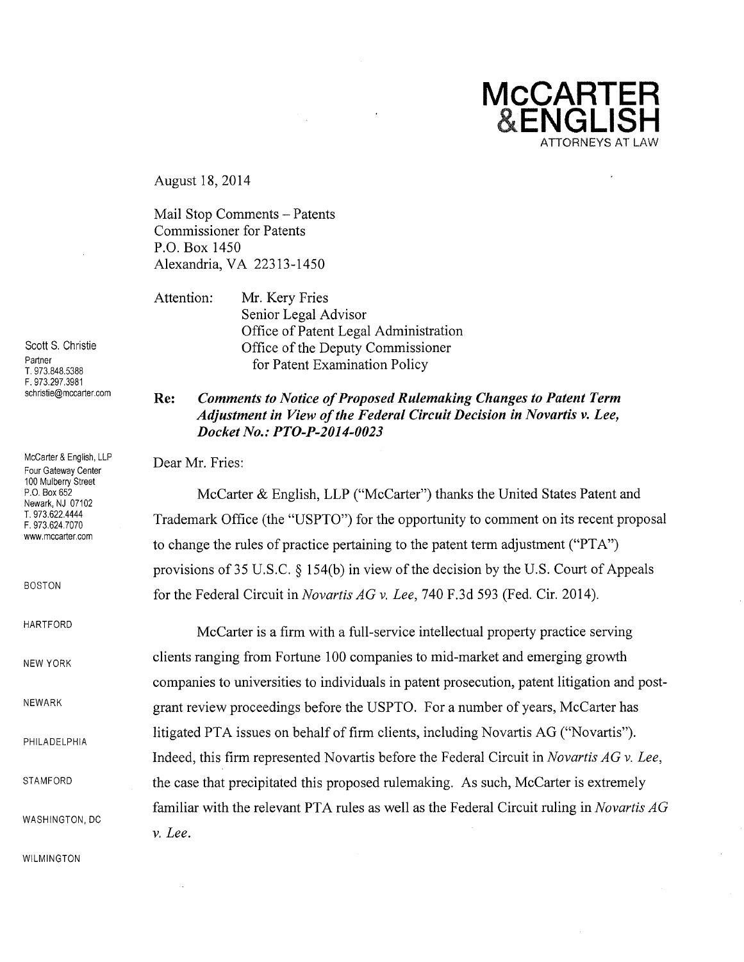**McCARTER ENGLISH**  ATTORNEYS AT LAW

August 18, 2014

Mail Stop Comments - Patents Commissioner for Patents P.O. Box 1450 Alexandria, VA 22313-1450

Attention: Mr. Kery Fries Senior Legal Advisor Office of Patent Legal Administration Office of the Deputy Commissioner for Patent Examination Policy

## **Re:** *Comments to Notice of Proposed Rulemaking Changes to Patent Term Adjustment in View ofthe Federal Circuit Decision in Novartis v. Lee, Docket No.: PTO-P-2014-0023*

Dear Mr. Fries:

McCarter & English, LLP ("McCarter") thanks the United States Patent and Trademark Office (the "USPTO") for the opportunity to comment on its recent proposal to change the rules of practice pertaining to the patent term adjustment ("PTA") provisions of  $35 \text{ U.S.C. }$   $\S$  154(b) in view of the decision by the U.S. Court of Appeals for the Federal Circuit in *Novartis AG* v. *Lee,* 740 F.3d 593 (Fed. Cir. 2014).

McCarter is a firm with a full-service intellectual property practice serving clients ranging from Fortune 100 companies to mid-market and emerging growth companies to universities to individuals in patent prosecution, patent litigation and postgrant review proceedings before the USPTO. For a number of years, McCarter has litigated PTA issues on behalf of firm clients, including Novartis AG ("Novartis"). Indeed, this firm represented Novartis before the Federal Circuit in *Novartis AG* v. *Lee,*  the case that precipitated this proposed rulemaking. As such, McCarter is extremely familiar with the relevant PTA rules as well as the Federal Circuit ruling in *Novartis AG*  v. *Lee.* 

Scott S. Christie Partner T. 973.848.5388 F.973.297.3981 schristie@mccarter.com

McCarter & English, LLP Four Gateway Center 100 Mulberry Street P.O. Box 652 Newark, NJ 07102 T.973.622.4444 F.973.624.7070 www.mccarter.com

BOSTON

HARTFORD

NEW YORK

NEWARK

PHILADELPHIA

STAMFORD

WASHINGTON, DC

WILMINGTON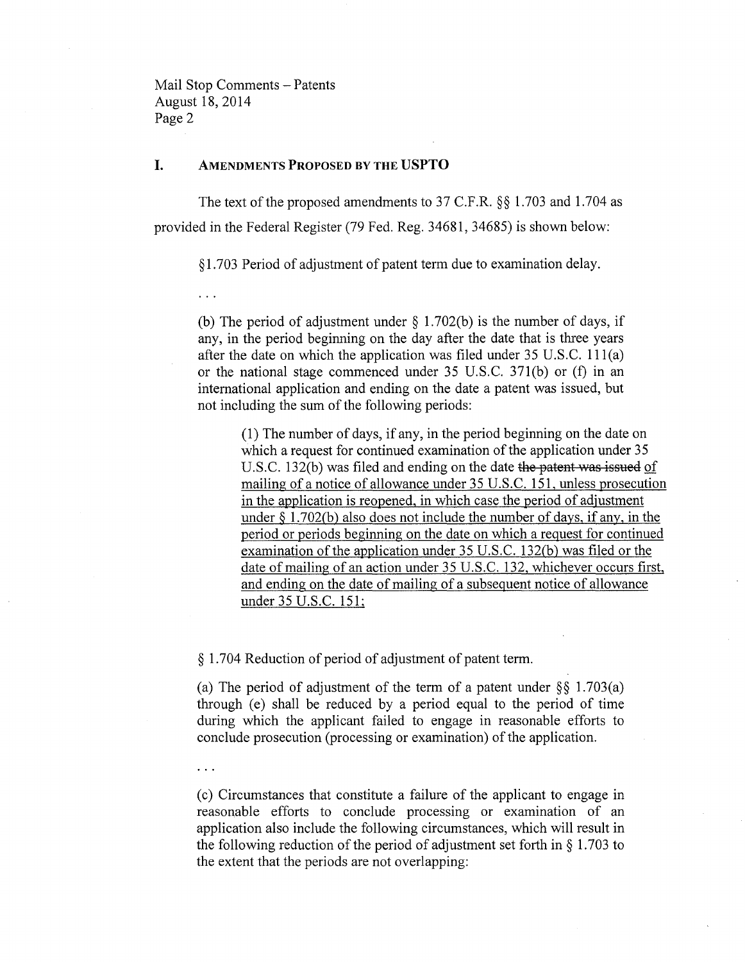$\cdots$ 

### I. AMENDMENTS **PROPOSED BY THE USPTO**

The text of the proposed amendments to 37 C.F.R. §§ 1.703 and 1.704 as provided in the Federal Register (79 Fed. Reg. 34681, 34685) is shown below:

§1.703 Period of adjustment of patent term due to examination delay.

(b) The period of adjustment under  $\S$  1.702(b) is the number of days, if any, in the period beginning on the day after the date that is three years after the date on which the application was filed under 35 U.S.C. 111(a) or the national stage commenced under 35 U.S.c. 371(b) or (f) in an international application and ending on the date a patent was issued, but not including the sum of the following periods:

(1) The number of days, if any, in the period beginning on the date on which a request for continued examination of the application under 35 U.S.C. 132(b) was filed and ending on the date the patent was issued of mailing of a notice of allowance under 35 U.S.C. 151, unless prosecution in the application is reopened, in which case the period of adjustment under  $\S 1.702(b)$  also does not include the number of days, if any, in the period or periods beginning on the date on which a request for continued examination of the application under 35 U.S.C. 132(b) was filed or the date of mailing of an action under 35 U.S.C. 132, whichever occurs first, and ending on the date of mailing of a subsequent notice of allowance under 35 U.S.C. 151;

§ 1.704 Reduction of period of adjustment of patent term.

(a) The period of adjustment of the term of a patent under  $\S\S$  1.703(a) through (e) shall be reduced by a period equal to the period of time during which the applicant failed to engage in reasonable efforts to conclude prosecution (processing or examination) of the application.

(c) Circumstances that constitute a failure of the applicant to engage in reasonable efforts to conclude processing or examination of an application also include the following circumstances, which will result in the following reduction of the period of adjustment set forth in § 1.703 to the extent that the periods are not overlapping: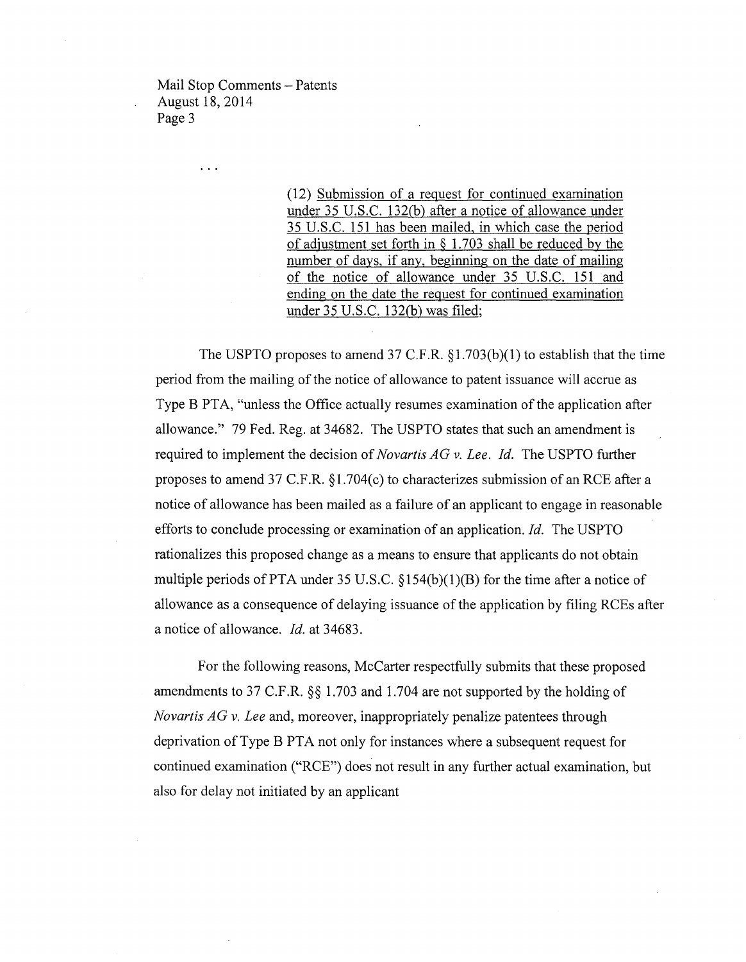$\overline{1}$ 

(12) Submission of a request for continued examination under 35 U.S.C. 132(b) after a notice of allowance under 35 U.S.C. 151 has been mailed, in which case the period of adjustment set forth in § 1.703 shall be reduced by the number of days, if any, beginning on the date of mailing of the notice of allowance under 35 U.S.C. 151 and ending on the date the request for continued examination under  $35$  U.S.C. 132(b) was filed;

The USPTO proposes to amend 37 C.F.R.  $\S1.703(b)(1)$  to establish that the time period from the mailing of the notice of allowance to patent issuance will accrue as Type B PTA, "unless the Office actually resumes examination of the application after allowance." 79 Fed. Reg. at 34682. The USPTO states that such an amendment is required to implement the decision of *Novartis AG* v. *Lee. Id.* The USPTO further proposes to amend 37 C.F.R.  $\S1.704(c)$  to characterizes submission of an RCE after a notice of allowance has been mailed as a failure of an applicant to engage in reasonable efforts to conclude processing or examination of an application. *Id.* The USPTO rationalizes this proposed change as a means to ensure that applicants do not obtain multiple periods of PTA under 35 U.S.C.  $\S154(b)(1)(B)$  for the time after a notice of allowance as a consequence of delaying issuance of the application by filing RCEs after a notice of allowance. *Id.* at 34683.

For the following reasons, McCarter respectfully submits that these proposed amendments to 37 C.F.R. §§ 1.703 and 1.704 are not supported by the holding of *Novartis AG* v. *Lee* and, moreover, inappropriately penalize patentees through deprivation of Type B PTA not only for instances where a subsequent request for continued examination ("RCE") does not result in any further actual examination, but also for delay not initiated by an applicant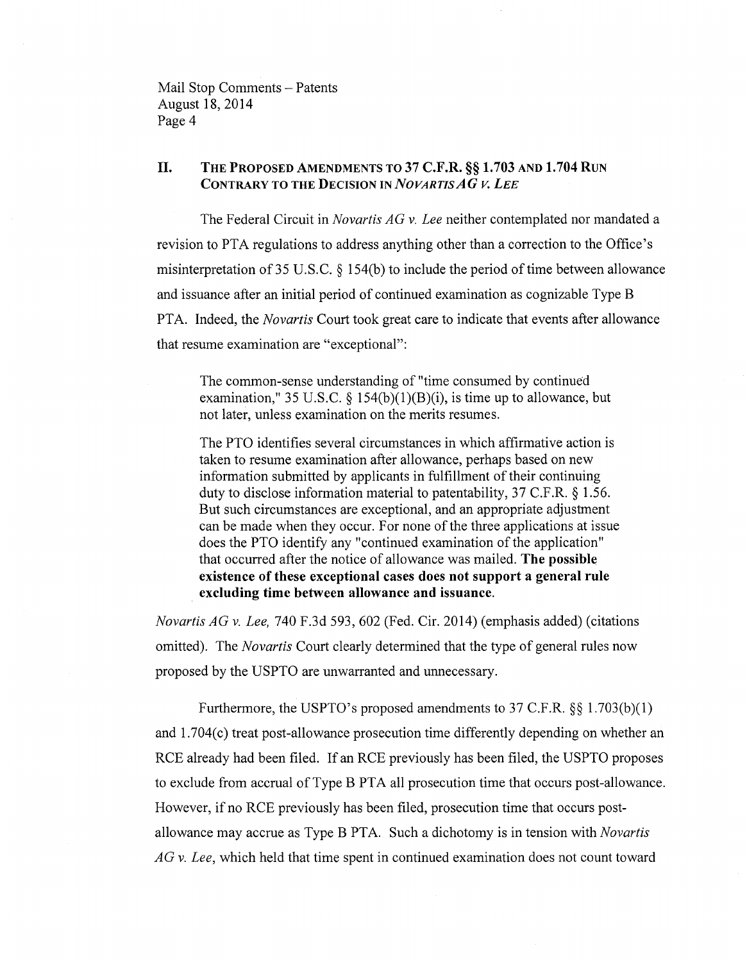## II. THE PROPOSED AMENDMENTS TO 37 C.F.R. §§ 1.703 AND 1.704 RUN CONTRARY TO THE DECISION IN *NOVARTISAG* V. *LEE*

The Federal Circuit in *Novartis AG* v. *Lee* neither contemplated nor mandated a revision to PTA regulations to address anything other than a correction to the Office's misinterpretation of 35 U.S.C. § 154(b) to include the period of time between allowance and issuance after an initial period of continued examination as cognizable Type B PTA. Indeed, the *Novartis* Court took great care to indicate that events after allowance that resume examination are "exceptional":

The common-sense understanding of "time consumed by continued examination," 35 U.S.C.  $\S$  154(b)(1)(B)(i), is time up to allowance, but not later, unless examination on the merits resumes.

The PTO identifies several circumstances in which affirmative action is taken to resume examination after allowance, perhaps based on new information submitted by applicants in fulfillment of their continuing duty to disclose information material to patentability, 37 C.F.R. § 1.56. But such circumstances are exceptional, and an appropriate adjustment can be made when they occur. For none of the three applications at issue does the PTO identify any "continued examination of the application" that occurred after the notice of allowance was mailed. The possible existence of these exceptional cases does not support a general rule excluding time between allowance and issuance.

*Novartis AG* v. *Lee,* 740 F.3d 593, 602 (Fed. Cir. 2014) (emphasis added) (citations omitted). The *Novartis* Court clearly determined that the type of general rules now proposed by the USPTO are unwarranted and unnecessary.

Furthermore, the USPTO's proposed amendments to 37 C.F.R. §§ 1.703(b)(1) and 1.704(c) treat post-allowance prosecution time differently depending on whether an RCE already had been filed. If an RCE previously has been filed, the USPTO proposes to exclude from accrual ofType B PTA all prosecution time that occurs post-allowance. However, if no RCE previously has been filed, prosecution time that occurs postallowance may accrue as Type B PTA. Such a dichotomy is in tension with *Novartis AG* v. *Lee,* which held that time spent in continued examination does not count toward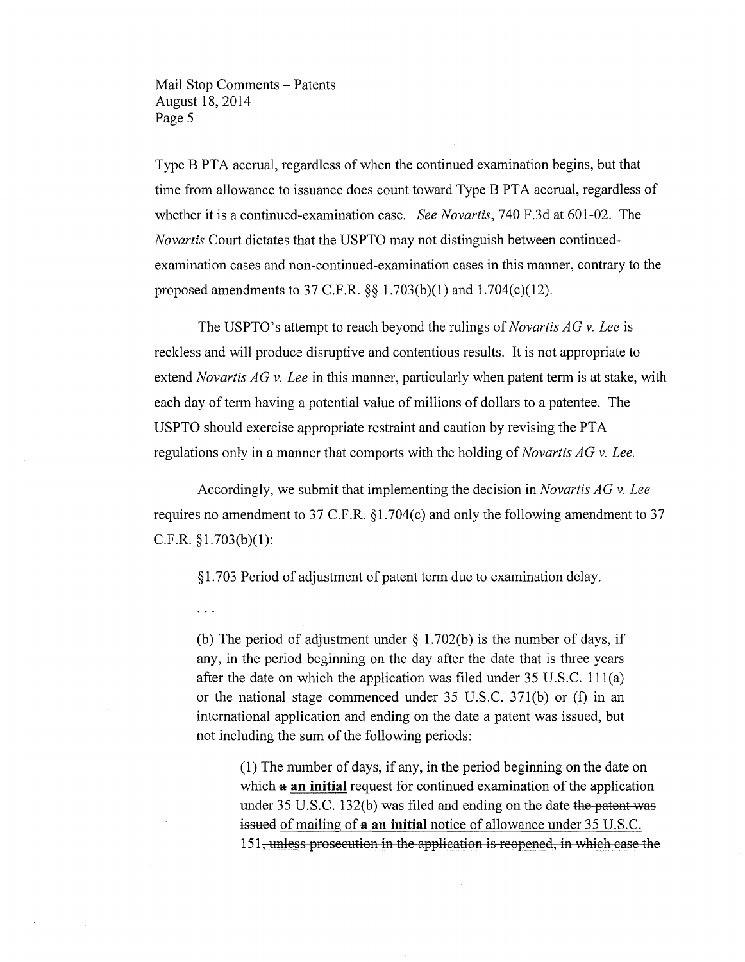$\cdots$ 

Type B PTA accrual, regardless of when the continued examination begins, but that time from allowance to issuance does count toward Type B PTA accrual, regardless of whether it is a continued-examination case. *See Novartis,* 740 F.3d at 601-02. The *Novartis* Court dictates that the USPTO may not distinguish between continuedexamination cases and non-continued-examination cases in this manner, contrary to the proposed amendments to 37 C.F.R.  $\S$ § 1.703(b)(1) and 1.704(c)(12).

The USPTO's attempt to reach beyond the rulings of *Novartis AG* v. *Lee* is reckless and will produce disruptive and contentious results. It is not appropriate to extend *Novartis AG* v. *Lee* in this manner, particularly when patent term is at stake, with each day of term having a potential value of millions of dollars to a patentee. The USPTO should exercise appropriate restraint and caution by revising the PTA regulations only in a manner that comports with the holding of *Novartis AG* v. *Lee.* 

Accordingly, we submit that implementing the decision in *Novartis AG* v. *Lee*  requires no amendment to 37 C.F.R. § 1.704(c) and only the following amendment to 37 C.F.R. §1.703(b)(l):

§ 1.703 Period of adjustment of patent term due to examination delay.

(b) The period of adjustment under  $\S$  1.702(b) is the number of days, if any, in the period beginning on the day after the date that is three years after the date on which the application was filed under 35 U.S.C. 111(a) or the national stage commenced under 35 U.S.C. 371(b) or (f) in an international application and ending on the date a patent was issued, but not including the sum of the following periods:

> (l) The number of days, if any, in the period beginning on the date on which **a** an initial request for continued examination of the application under  $35$  U.S.C. 132(b) was filed and ending on the date the patent was issued of mailing of **a** an initial notice of allowance under 35 U.S.C. 151, unless prosecution in the application is reopened, in which case the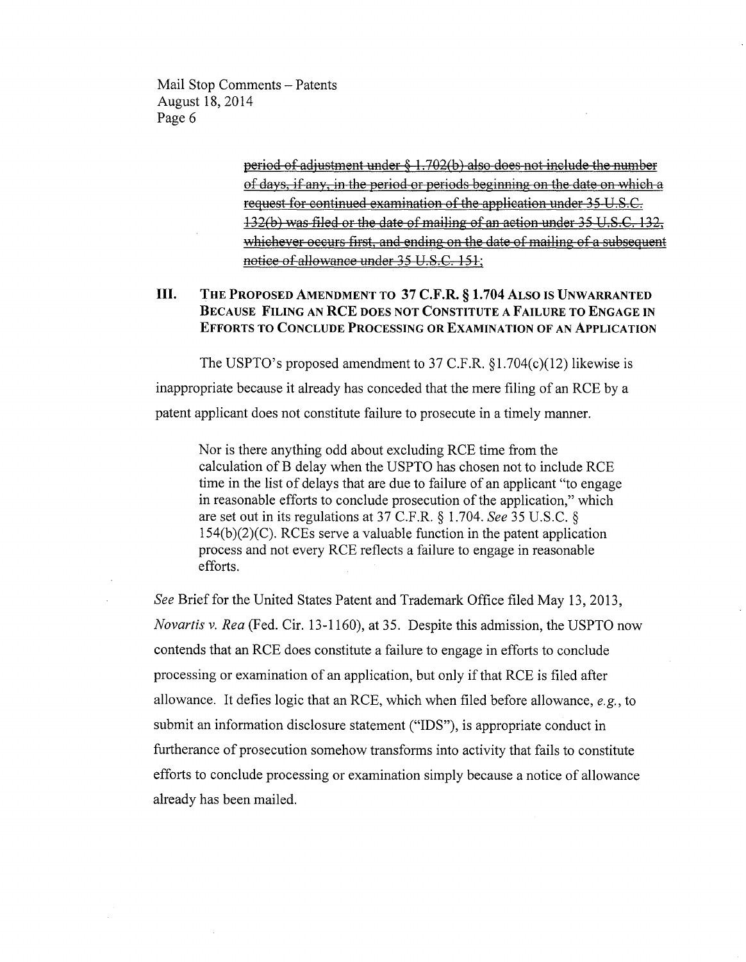> period of adjustment under § 1.702(b) also does not include the number of days, if any, in the period or periods beginning on the date on which a request for continued examination of the application under 35 U.S.C. 132(b) *VfflS* filed or the date of mailing of an action under 35 U.s.C. 132, whichever occurs first, and ending on the date of mailing of a subsequent notice of allowance under 35 V.S.C. 151;

# III. THE PROPOSED AMENDMENT TO 37 C.F.R. § 1.704 ALSO IS UNWARRANTED BECAUSE FILING AN RCE DOES NOT CONSTITUTE A FAILURE TO ENGAGE IN EFFORTS TO CONCLUDE PROCESSING OR EXAMINATION OF AN ApPLICATION

The USPTO's proposed amendment to 37 C.F.R. §1.704(c)(12) likewise is inappropriate because it already has conceded that the mere filing of an RCE by a patent applicant does not constitute failure to prosecute in a timely manner.

Nor is there anything odd about excluding RCE time from the calculation of B delay when the USPTO has chosen not to include RCE time in the list of delays that are due to failure of an applicant "to engage in reasonable efforts to conclude prosecution of the application," which are set out in its regulations at 37 C.F.R. § 1.704. *See* 35 U.S.C. § 154(b)(2)(C). RCEs serve a valuable function in the patent application process and not every RCE reflects a failure to engage in reasonable efforts.

*See* Brief for the United States Patent and Trademark Office filed May 13,2013, *Novartis* v. *Rea* (Fed. Cir. 13-1160), at 35. Despite this admission, the USPTO now contends that an RCE does constitute a failure to engage in efforts to conclude processing or examination of an application, but only if that RCE is filed after allowance. It defies logic that an RCE, which when filed before allowance, *e.g.,* to submit an information disclosure statement ("IDS"), is appropriate conduct in furtherance of prosecution somehow transforms into activity that fails to constitute efforts to conclude processing or examination simply because a notice of allowance already has been mailed.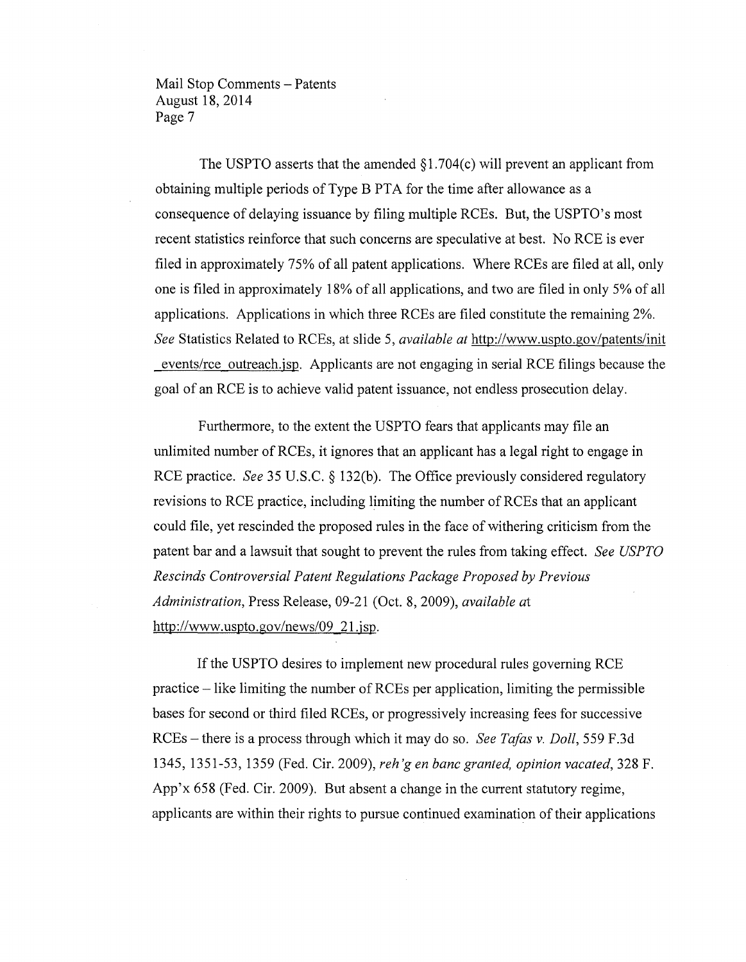The USPTO asserts that the amended  $\S1.704(c)$  will prevent an applicant from obtaining multiple periods of Type B PTA for the time after allowance as a consequence of delaying issuance by filing multiple RCEs. But, the USPTO's most recent statistics reinforce that such concerns are speculative at best. No RCE is ever filed in approximately 75% of all patent applications. Where RCEs are filed at all, only one is filed in approximately 18% of all applications, and two are filed in only 5% of all applications. Applications in which three RCEs are filed constitute the remaining 2%. *See* Statistics Related to RCEs, at slide 5, *available at* http://www.uspto.gov/patents/init events/rce outreach.jsp. Applicants are not engaging in serial RCE filings because the goal of an RCE is to achieve valid patent issuance, not endless prosecution delay.

Furthermore, to the extent the USPTO fears that applicants may file an unlimited number of RCEs, it ignores that an applicant has a legal right to engage in RCE practice. *See* 35 U.S.C. § 132(b). The Office previously considered regulatory revisions to RCE practice, including limiting the number of RCEs that an applicant could file, yet rescinded the proposed rules in the face of withering criticism from the patent bar and a lawsuit that sought to prevent the rules from taking effect. *See USPTO Rescinds Controversial Patent Regulations Package Proposed by Previous Administration,* Press Release, 09-21 (Oct. 8, 2009), *available at*  http://www.uspto.gov/news/09 21.jsp.

If the USPTO desires to implement new procedural rules governing RCE practice - like limiting the number of RCEs per application, limiting the permissible bases for second or third filed RCEs, or progressively increasing fees for successive RCEs - there is a process through which it may do so. *See TaJas* v. *Doll,* 559 F.3d 1345, 1351-53, 1359 (Fed. Cir. 2009), *reh* 'g *en banc granted, opinion vacated,* 328 F. App'x 658 (Fed. Cir. 2009). But absent a change in the current statutory regime, applicants are within their rights to pursue continued examination of their applications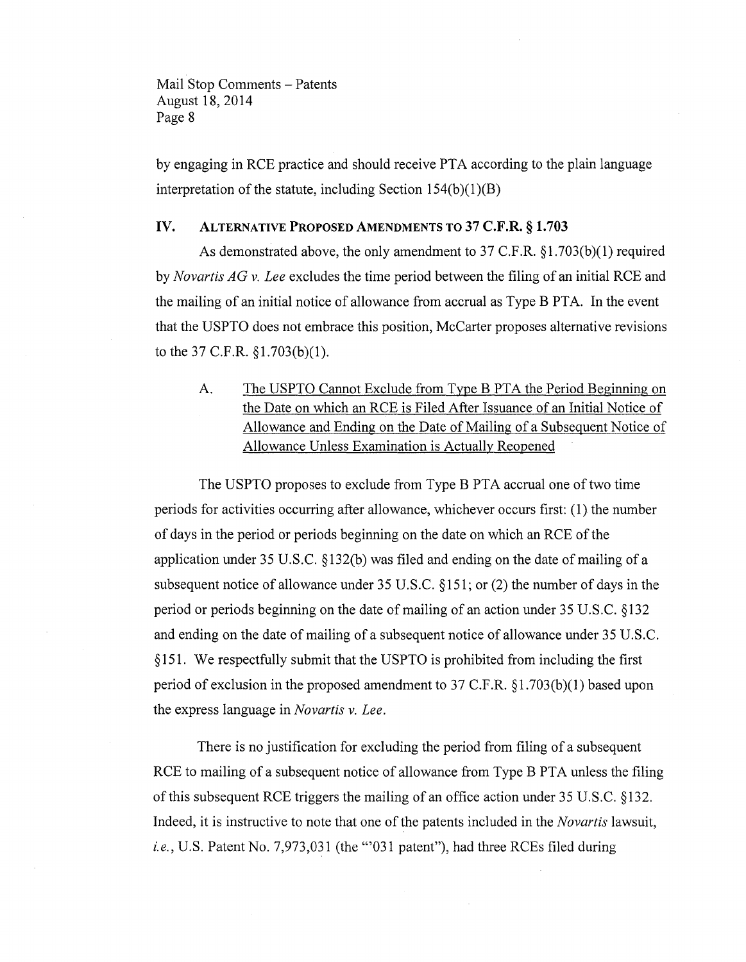by engaging in RCE practice and should receive PTA according to the plain language interpretation of the statute, including Section  $154(b)(1)(B)$ 

#### IV. ALTERNATIVE PROPOSED AMENDMENTS TO 37 C.F.R. § 1.703

As demonstrated above, the only amendment to 37 C.F.R. § 1.703(b)(1) required by *Novartis AG* v. *Lee* excludes the time period between the filing of an initial RCE and the mailing of an initial notice of allowance from accrual as Type B PTA. In the event that the USPTO does not embrace this position, McCarter proposes alternative revisions to the 37 C.F.R. § 1.703(b)(1).

A. The USPTO Cannot Exclude from Type B PTA the Period Beginning on the Date on which an RCE is Filed After Issuance of an Initial Notice of Allowance and Ending on the Date of Mailing of a Subsequent Notice of Allowance Unless Examination is Actually Reopened

The USPTO proposes to exclude from Type B PTA accrual one of two time periods for activities occurring after allowance, whichever occurs first: (1) the number of days in the period or periods beginning on the date on which an RCE of the application under 35 U.S.C. §132(b) was filed and ending on the date of mailing ofa subsequent notice of allowance under 35 U.S.C. § 151; or (2) the number of days in the period or periods beginning on the date of mailing of an action under 35 U.S.C. §132 and ending on the date of mailing of a subsequent notice of allowance under 35 U.S.C. § 151. We respectfully submit that the USPTO is prohibited from including the first period of exclusion in the proposed amendment to 37 C.F.R. § 1.703(b)(1) based upon the express language in *Novartis* v. *Lee.* 

There is no justification for excluding the period from filing of a subsequent RCE to mailing of a subsequent notice of allowance from Type B PTA unless the filing of this subsequent RCE triggers the mailing of an office action under 35 U.S.C. §132. Indeed, it is instructive to note that one of the patents included in the *Novartis* lawsuit, *i.e.,* U.S. Patent No. 7,973,031 (the "'031 patent"), had three RCEs filed during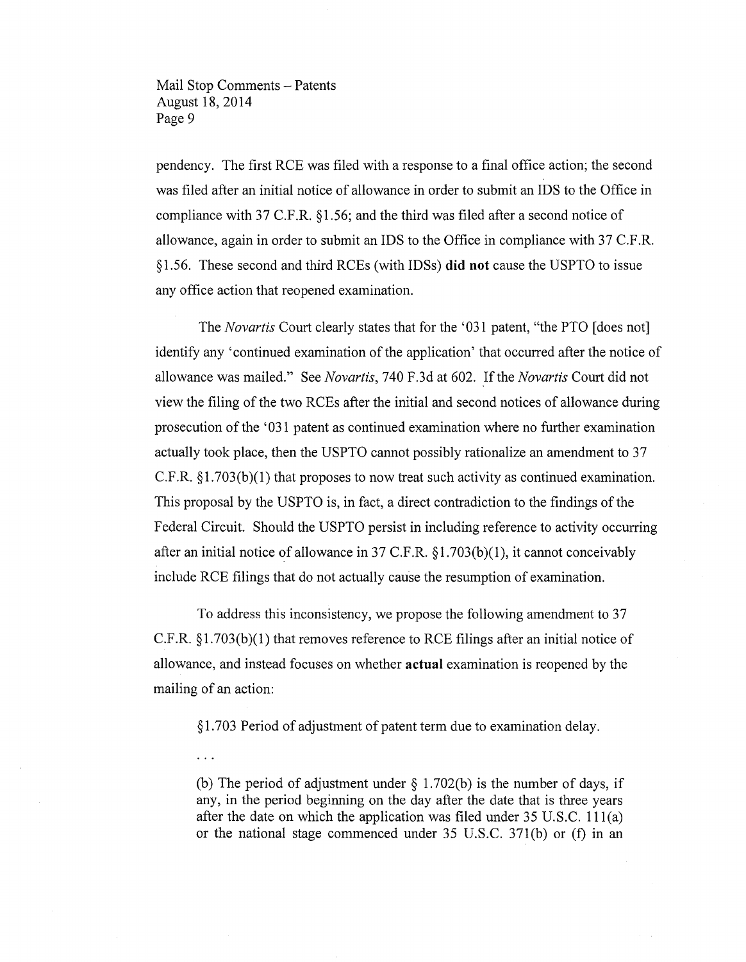$\mathbf{1}$ 

pendency. The first RCE was filed with a response to a final office action; the second was filed after an initial notice of allowance in order to submit an IDS to the Office in compliance with 37 C.F.R. § 1.56; and the third was filed after a second notice of allowance, again in order to submit an IDS to the Office in compliance with 37 C.F.R. §1.56. These second and third RCEs (with IDSs) **did not** cause the USPTO to issue any office action that reopened examination.

The *Novartis* Court clearly states that for the '031 patent, "the PTO [does not] identify any 'continued examination of the application' that occurred after the notice of allowance was mailed." See *Novartis,* 740 F.3d at 602. Ifthe *Novartis* Court did not view the filing of the two RCEs after the initial and second notices of allowance during prosecution of the' 031 patent as continued examination where no further examination actually took place, then the USPTO cannot possibly rationalize an amendment to 37 C.F.R. §1.703(b)(1) that proposes to now treat such activity as continued examination. This proposal by the USPTO is, in fact, a direct contradiction to the findings of the Federal Circuit. Should the USPTO persist in including reference to activity occurring after an initial notice of allowance in 37 C.F.R.  $\S1.703(b)(1)$ , it cannot conceivably include RCE filings that do not actually cause the resumption of examination.

To address this inconsistency, we propose the following amendment to 37  $C.F.R. \S1.703(b)(1)$  that removes reference to RCE filings after an initial notice of allowance, and instead focuses on whether **actual** examination is reopened by the mailing of an action:

§ 1.703 Period of adjustment of patent term due to examination delay.

(b) The period of adjustment under  $\S$  1.702(b) is the number of days, if any, in the period beginning on the day after the date that is three years after the date on which the application was filed under 35 U.S.C. 111(a) or the national stage commenced under  $35 \text{ U.S.C. } 371(\text{b})$  or  $(f)$  in an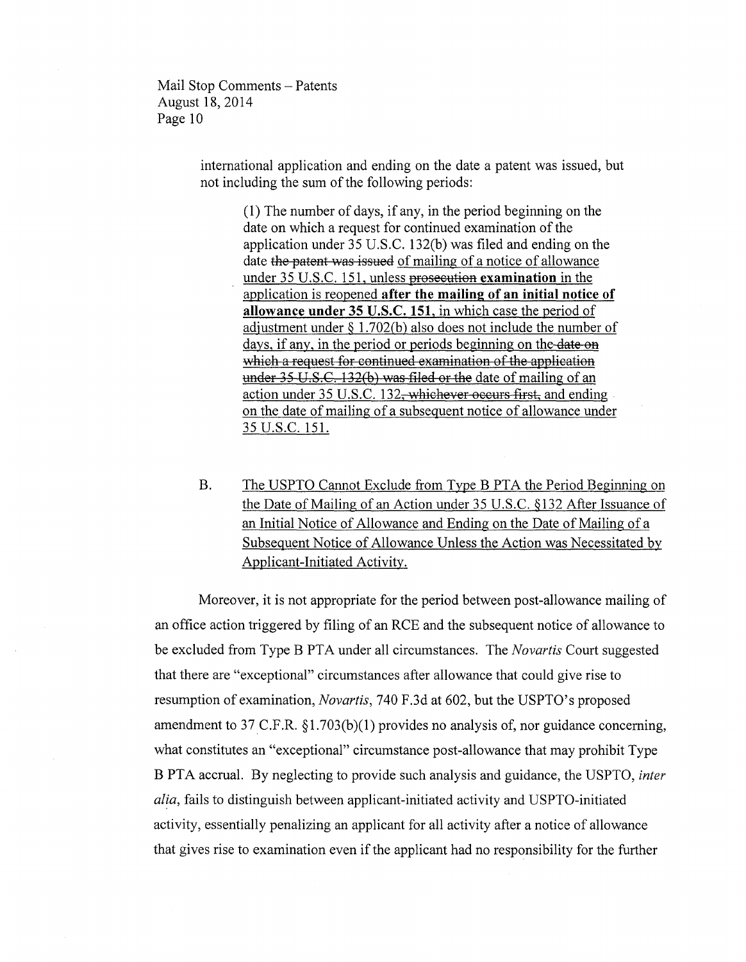> international application and ending on the date a patent was issued, but not including the sum of the following periods:

(1) The number of days, if any, in the period beginning on the date on which a request for continued examination of the application under 35 U.S.c. 132(b) was filed and ending on the date the patent was issued of mailing of a notice of allowance under 35 U.S.C. 151, unless prosecution **examination** in the application is reopened **after the mailing of an initial notice of allowance under 35 U.S.C. 151,** in which case the period of adjustment under § 1.702(b) also does not include the number of days, if any, in the period or periods beginning on the date on which a request for continued examination of the application under  $35 \text{ U.S.C.}$  132(b) was filed or the date of mailing of an action under 35 U.S.C. 132<del>, whichever occurs first,</del> and ending on the date of mailing of a subsequent notice of allowance under 35 U.S.C. 151.

B. The USPTO Cannot Exclude from Type B PTA the Period Beginning on the Date of Mailing of an Action under 35 U.S.C. §132 After Issuance of an Initial Notice of Allowance and Ending on the Date of Mailing of a Subsequent Notice of Allowance Unless the Action was Necessitated by Applicant-Initiated Activity.

Moreover, it is not appropriate for the period between post-allowance mailing of an office action triggered by filing of an RCE and the subsequent notice of allowance to be excluded from Type B PTA under all circumstances. The *Novartis* Court suggested that there are "exceptional" circumstances after allowance that could give rise to resumption of examination, *Novartis,* 740 F.3d at 602, but the USPTO's proposed amendment to 37C.F.R. §1.703(b)(1) provides no analysis of, nor guidance concerning, what constitutes an "exceptional" circumstance post-allowance that may prohibit Type B PTA accrual. By neglecting to provide such analysis and guidance, the USPTO, *inter alia,* fails to distinguish between applicant-initiated activity and USPTO-initiated activity, essentially penalizing an applicant for all activity after a notice of allowance that gives rise to examination even if the applicant had no responsibility for the further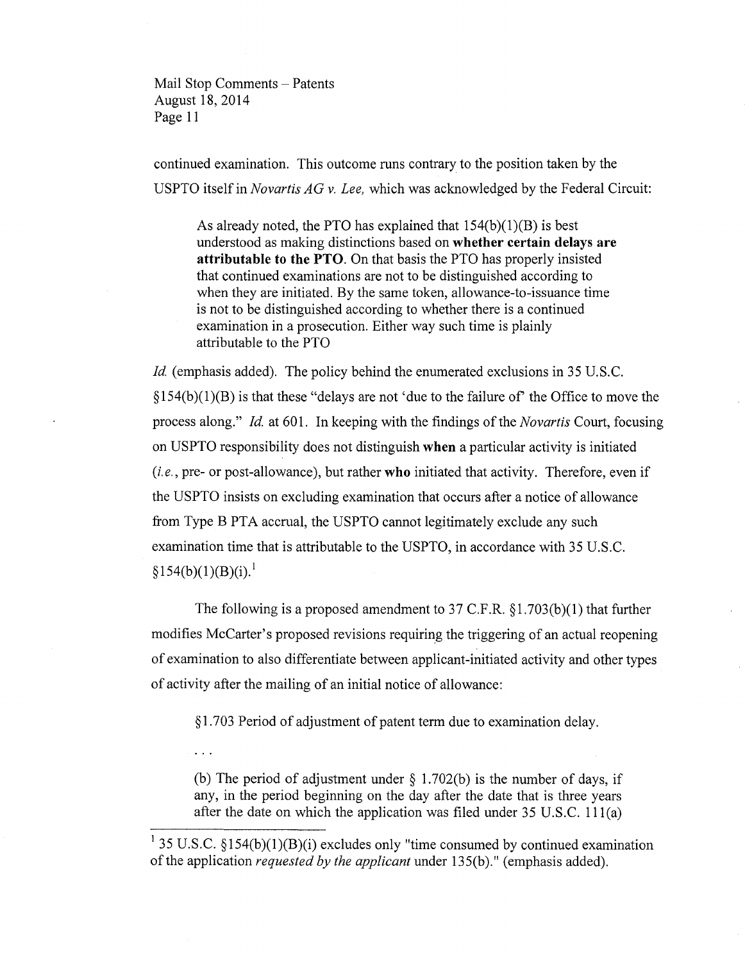continued examination. This outcome runs contrary to the position taken by the USPTO itself in *Novartis AG* v. *Lee,* which was acknowledged by the Federal Circuit:

As already noted, the PTO has explained that 154(b)(1)(B) is best understood as making distinctions based on **whether certain delays are attributable to the PTO.** On that basis the PTO has properly insisted that continued examinations are not to be distinguished according to when they are initiated. By the same token, allowance-to-issuance time is not to be distinguished according to whether there is a continued examination in a prosecution. Either way such time is plainly attributable to the PTO

*Id.* (emphasis added). The policy behind the enumerated exclusions in 35 U.S.C.  $\S154(b)(1)(B)$  is that these "delays are not 'due to the failure of' the Office to move the process along." *Id* at 601. In keeping with the findings of the *Novartis* Court, focusing on USPTO responsibility does not distinguish **when** a particular activity is initiated *(i. e.,* pre- or post-allowance), but rather **who** initiated that activity. Therefore, even if the USPTO insists on excluding examination that occurs after a notice of allowance from Type B PTA accrual, the USPTO cannot legitimately exclude any such examination time that is attributable to the USPTO, in accordance with 35 U.S.C.  $§154(b)(1)(B)(i).<sup>1</sup>$ 

The following is a proposed amendment to 37 C.F.R. §1.703(b)(1) that further modifies McCarter's proposed revisions requiring the triggering of an actual reopening of examination to also differentiate between applicant-initiated activity and other types of activity after the mailing of an initial notice of allowance:

§ 1.703 Period of adjustment of patent term due to examination delay.

(b) The period of adjustment under  $\S$  1.702(b) is the number of days, if any, in the period beginning on the day after the date that is three years after the date on which the application was filed under 35 U.S.C. 111(a)

<sup>&</sup>lt;sup>1</sup> 35 U.S.C. §154(b)(1)(B)(i) excludes only "time consumed by continued examination of the application *requested by the applicant* under 135(b)." (emphasis added).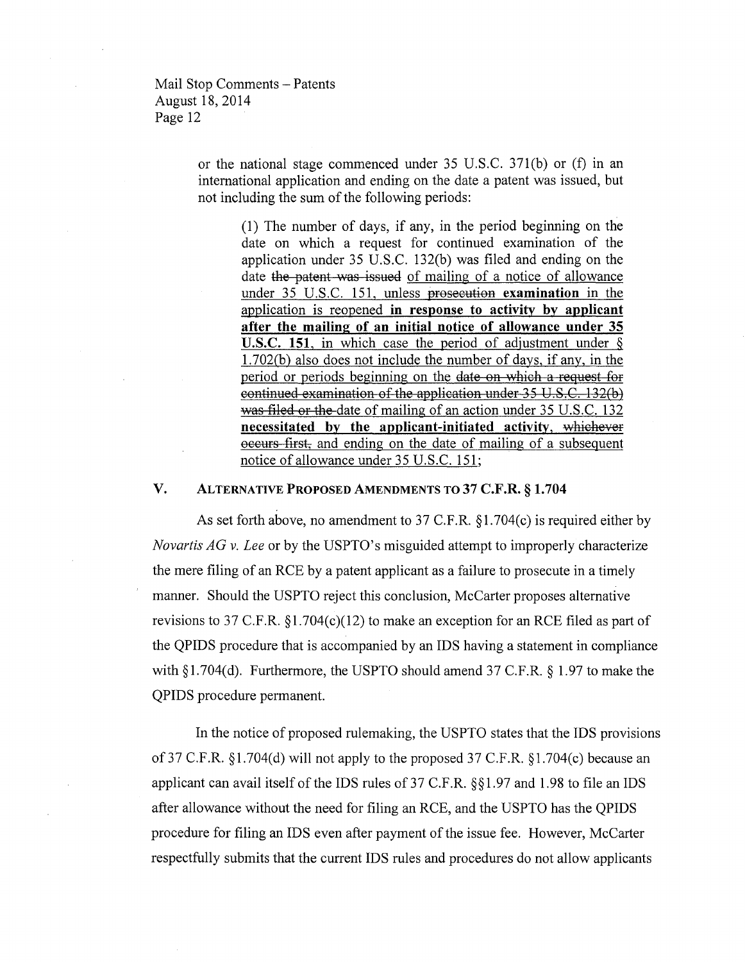> or the national stage commenced under 35 U.S.C. 371(b) or (f) in an international application and ending on the date a patent was issued, but not including the sum of the following periods:

(1) The number of days, if any, in the period beginning on the date on which a request for continued examination of the application under 35 U.S.C. 132(b) was filed and ending on the date the patent was issued of mailing of a notice of allowance under 35 U.S.C. 151, unless prosecution examination in the application is reopened in response to activity by applicant after the mailing of an initial notice of allowance under 35 **U.S.C. 151**, in which case the period of adjustment under  $\delta$ 1.702(b) also does not include the number of days, if any, in the period or periods beginning on the date on which a request for continued examination of the application under 35 U.S.C. 132(b) was filed or the date of mailing of an action under 35 U.S.C. 132 necessitated by the applicant-initiated activity, whichever occurs first, and ending on the date of mailing of a subsequent notice of allowance under 35 U.S.C. 151;

## v. ALTERNATIVE PROPOSED AMENDMENTS TO 37 C.F.R. § 1.704

As set forth above, no amendment to 37 C.F.R. §1.704(c) is required either by *Novartis AG* v. *Lee* or by the USPTO's misguided attempt to improperly characterize the mere filing of an RCE by a patent applicant as a failure to prosecute in a timely manner. Should the USPTO reject this conclusion, McCarter proposes alternative revisions to 37 C.F.R. §1.704(c)(12) to make an exception for an RCE filed as part of the QPIDS procedure that is accompanied by an IDS having a statement in compliance with § 1.704(d). Furthermore, the USPTO should amend 37 C.F.R. § 1.97 to make the QPIDS procedure permanent.

In the notice of proposed rulemaking, the USPTO states that the IDS provisions of37 C.F.R. §1.704(d) will not apply to the proposed 37 C.F.R. §1.704(c) because an applicant can avail itself of the IDS rules of37 C.F.R. §§1.97 and 1.98 to file an IDS after allowance without the need for filing an RCE, and the USPTO has the QPIDS procedure for filing an IDS even after payment of the issue fee. However, McCarter respectfully submits that the current IDS rules and procedures do not allow applicants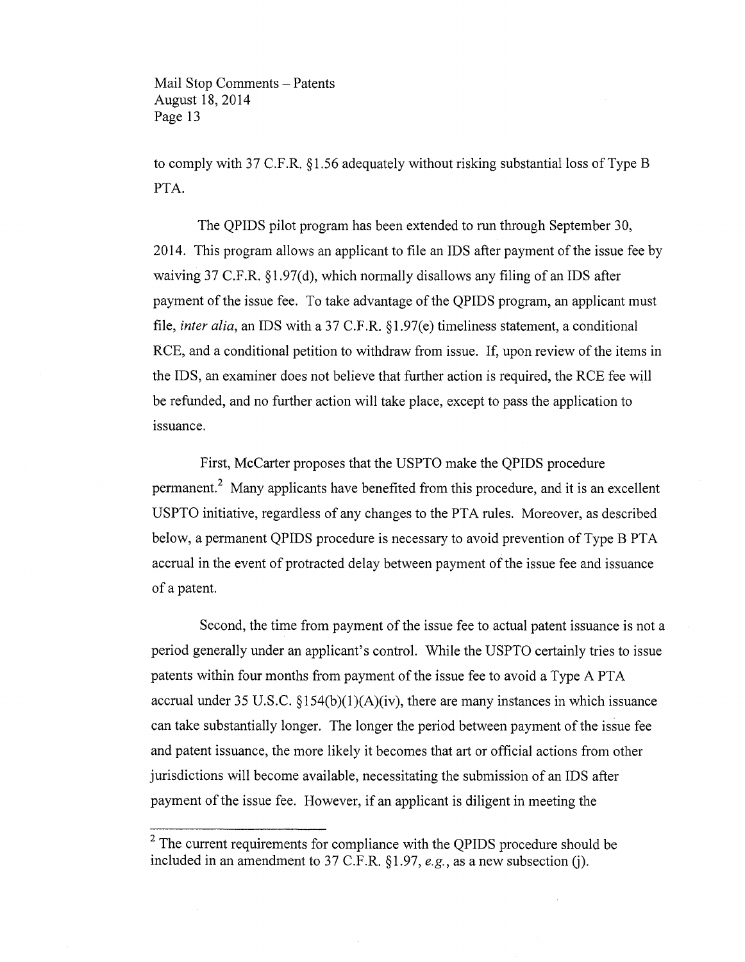to comply with 37 C.F.R. § 1.56 adequately without risking substantial loss of Type B PTA.

The QPIDS pilot program has been extended to run through September 30, 2014. This program allows an applicant to file an IDS after payment of the issue fee by waiving 37 C.F.R. §1.97(d), which normally disallows any filing of an IDS after payment of the issue fee. To take advantage of the QPIDS program, an applicant must file, *inter alia,* an IDS with a 37 C.F.R. §1.97(e) timeliness statement, a conditional RCE, and a conditional petition to withdraw from issue. If, upon review of the items in the IDS, an examiner does not believe that further action is required, the RCE fee will be refunded, and no further action will take place, except to pass the application to issuance.

First, McCarter proposes that the USPTO make the QPIDS procedure permanent? Many applicants have benefited from this procedure, and it is an excellent USPTO initiative, regardless of any changes to the PTA rules. Moreover, as described below, a permanent QPIDS procedure is necessary to avoid prevention of Type B PTA accrual in the event of protracted delay between payment of the issue fee and issuance of a patent.

Second, the time from payment of the issue fee to actual patent issuance is not a period generally under an applicant's control. While the USPTO certainly tries to issue patents within four months from payment of the issue fee to avoid a Type A PTA accrual under 35 U.S.C.  $\S154(b)(1)(A)(iv)$ , there are many instances in which issuance can take substantially longer. The longer the period between payment of the issue fee and patent issuance, the more likely it becomes that art or official actions from other jurisdictions will become available, necessitating the submission of an IDS after payment of the issue fee. However, if an applicant is diligent in meeting the

 $2$  The current requirements for compliance with the QPIDS procedure should be included in an amendment to 37 C.F.R. §1.97, *e.g.*, as a new subsection (j).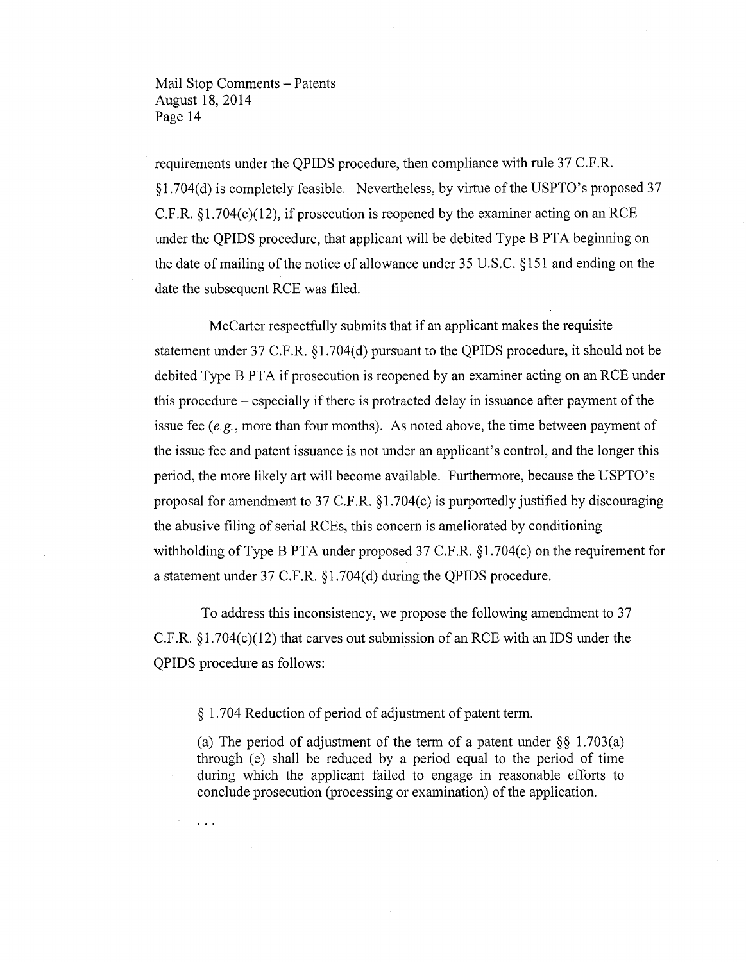requirements under the QPIDS procedure, then compliance with rule 37 C.F.R. § 1.704(d) is completely feasible. Nevertheless, by virtue of the USPTO's proposed 37 C.F.R.  $\S1.704(c)(12)$ , if prosecution is reopened by the examiner acting on an RCE under the QPIDS procedure, that applicant will be debited Type B PTA beginning on the date of mailing of the notice of allowance under 35 U.S.C. §151 and ending on the date the subsequent RCE was filed.

McCarter respectfully submits that if an applicant makes the requisite statement under 37 C.F.R. §1.704(d) pursuant to the QPIDS procedure, it should not be debited Type B PTA if prosecution is reopened by an examiner acting on an RCE under this procedure - especially if there is protracted delay in issuance after payment of the issue fee *(e.g.,* more than four months). As noted above, the time between payment of the issue fee and patent issuance is not under an applicant's control, and the longer this period, the more likely art will become available. Furthermore, because the USPTO's proposal for amendment to 37 C.F.R. §1.704(c) is purportedly justified by discouraging the abusive filing of serial RCEs, this concern is ameliorated by conditioning withholding of Type B PTA under proposed 37 C.F.R. §1.704(c) on the requirement for a statement under 37 C.F.R. §1.704(d) during the QPIDS procedure.

To address this inconsistency, we propose the following amendment to 37 C.F.R.  $\S1.704(c)(12)$  that carves out submission of an RCE with an IDS under the QPIDS procedure as follows:

§ 1.704 Reduction of period of adjustment of patent term.

 $\ddotsc$ 

(a) The period of adjustment of the term of a patent under  $\S$ § 1.703(a) through (e) shall be reduced by a period equal to the period of time during which the applicant failed to engage in reasonable efforts to conclude prosecution (processing or examination) of the application.